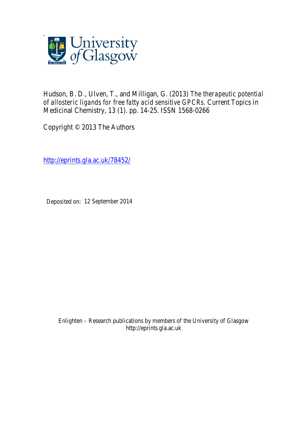

Hudson, B. D., Ulven, T., and Milligan, G. (2013) *The therapeutic potential of allosteric ligands for free fatty acid sensitive GPCRs.* Current Topics in Medicinal Chemistry, 13 (1). pp. 14-25. ISSN 1568-0266

Copyright © 2013 The Authors

http://eprints.gla.ac.uk/78452/

Deposited on: 12 September 2014

Enlighten – Research publications by members of the University of Glasgow http://eprints.gla.ac.uk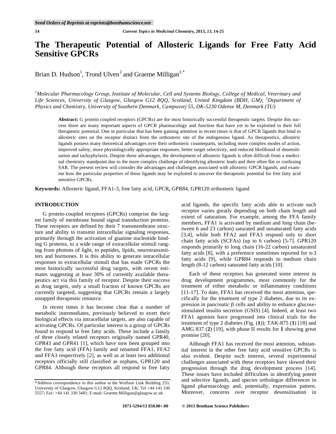# **The Therapeutic Potential of Allosteric Ligands for Free Fatty Acid Sensitive GPCRs**

Brian D. Hudson<sup>1</sup>, Trond Ulven<sup>2</sup> and Graeme Milligan<sup>1,\*</sup>

*1 Molecular Pharmacology Group, Institute of Molecular, Cell and Systems Biology, College of Medical, Veterinary and Life Sciences, University of Glasgow, Glasgow G12 8QQ, Scotland, United Kingdom (BDH, GM); <sup>2</sup> Department of Physics and Chemistry, University of Southern Denmark, Campusvej 55, DK-5230 Odense M, Denmark (TU)* 

**Abstract:** G protein coupled receptors (GPCRs) are the most historically successful therapeutic targets. Despite this success there are many important aspects of GPCR pharmacology and function that have yet to be exploited to their full therapeutic potential. One in particular that has been gaining attention in recent times is that of GPCR ligands that bind to allosteric sites on the receptor distinct from the orthosteric site of the endogenous ligand. As therapeutics, allosteric ligands possess many theoretical advantages over their orthosteric counterparts, including more complex modes of action, improved safety, more physiologically appropriate responses, better target selectivity, and reduced likelihood of desensitisation and tachyphylaxis. Despite these advantages, the development of allosteric ligands is often difficult from a medicinal chemistry standpoint due to the more complex challenge of identifying allosteric leads and their often flat or confusing SAR. The present review will consider the advantages and challenges associated with allosteric GPCR ligands, and examine how the particular properties of these ligands may be exploited to uncover the therapeutic potential for free fatty acid sensitive GPCRs.

**Keywords:** Allosteric ligand, FFA1-3, free fatty acid, GPCR**,** GPR84, GPR120 orthosteric ligand

# **INTRODUCTION**

G protein-coupled receptors (GPCRs) comprise the largest family of membrane bound signal transduction proteins. These receptors are defined by their 7 transmembrane structure and ability to transmit intracellular signaling responses, primarily through the activation of guanine nucleotide binding G proteins, to a wide range of extracellular stimuli ranging from photons of light, to peptides, lipids, neurotransmitters and hormones. It is this ability to generate intracellular responses to extracellular stimuli that has made GPCRs the most historically successful drug targets, with recent estimates suggesting at least 30% of currently available therapeutics act via this family of receptor. Despite their success as drug targets, only a small fraction of known GPCRs are currently targeted, suggesting that GPCRs remain a largely untapped therapeutic resource.

In recent times it has become clear that a number of metabolic intermediates, previously believed to exert their biological effects via intracellular targets, are also capable of activating GPCRs. Of particular interest is a group of GPCRs found to respond to free fatty acids. These include a family of three closely related receptors originally named GPR40, GPR43 and GPR41 [1], which have now been grouped into the free fatty acid (FFA) family and renamed FFA1, FFA2 and FFA3 respectively [2], as well as at least two additional receptors officially still classified as orphans, GPR120 and GPR84. Although these receptors all respond to free fatty

acid ligands, the specific fatty acids able to activate each receptor varies greatly depending on both chain length and extent of saturation. For example, among the FFA family members, FFA1 is activated by medium and long chain (between 6 and 23 carbon) saturated and unsaturated fatty acids [3,4], while both FFA2 and FFA3 respond only to short chain fatty acids (SCFAs) (up to 6 carbon) [5-7]. GPR120 responds primarily to long chain (16-22 carbon) unsaturated fatty acids [8], with a preference sometimes reported for n-3 fatty acids [9], while GPR84 responds to medium chain length (8-12 carbon) saturated fatty acids [10].

Each of these receptors has generated some interest in drug development programmes, most commonly for the treatment of either metabolic or inflammatory conditions [11-17]. To date, FFA1 has received the most attention, specifically for the treatment of type 2 diabetes, due to its expression in pancreatic  $\beta$  cells and ability to enhance glucosestimulated insulin secretion (GSIS) [4]. Indeed, at least two FFA1 agonists have progressed into clinical trials for the treatment of type 2 diabetes (Fig. (**1**)); TAK-875 (**1**) [18] and AMG 837 (**2**) [19], with phase II results for **1** showing great promise [20].

Although FFA1 has received the most attention, substantial interest in the other free fatty acid sensitive GPCRs is also evident. Despite such interest, several experimental challenges associated with these receptors have slowed their progression through the drug development process [14]. These issues have included difficulties in identifying potent and selective ligands, and species orthologue differences in ligand pharmacology and, potentially, expression pattern. Moreover, concerns over receptor desensitisation in

<sup>\*</sup>Address correspondence to this author at the Wolfson Link Building 253, University of Glasgow, Glasgow G12 8QQ, Scotland, UK; Tel +44 141 330 5557; Fax: +44 141 330 5481; E-mail: Graeme.Milligan@glasgow.ac.uk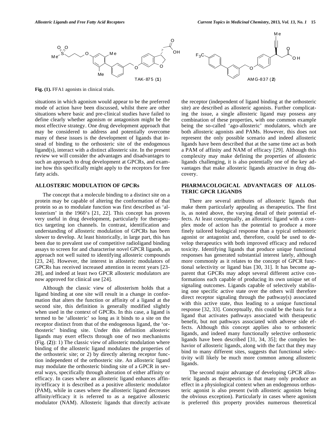

**Fig. (1).** FFA1 agonists in clinical trials.

situations in which agonism would appear to be the preferred mode of action have been discussed, whilst there are other situations where basic and pre-clinical studies have failed to define clearly whether agonism or antagonism might be the most effective strategy. One drug development approach that may be considered to address and potentially overcome many of these issues is the development of ligands that instead of binding to the orthosteric site of the endogenous ligand(s), interact with a distinct allosteric site. In the present review we will consider the advantages and disadvantages to such an approach to drug development at GPCRs, and examine how this specifically might apply to the receptors for free fatty acids.

#### **ALLOSTERIC MODULATION OF GPCRs**

The concept that a molecule binding to a distinct site on a protein may be capable of altering the conformation of that protein so as to modulate function was first described as 'allosterism' in the 1960's [21, 22]. This concept has proven very useful in drug development, particularly for therapeutics targeting ion channels. In contrast, identification and understanding of allosteric modulation of GPCRs has been slower to develop. At least historically, in large part, this has been due to prevalent use of competitive radioligand binding assays to screen for and characterise novel GPCR ligands, an approach not well suited to identifying allosteric compounds [23, 24]. However, the interest in allosteric modulators of GPCRs has received increased attention in recent years [23- 28], and indeed at least two GPCR allosteric modulators are now approved for clinical use [24].

Although the classic view of allosterism holds that a ligand binding at one site will result in a change in conformation that alters the function or affinity of a ligand at the second site, this definition is generally modified slightly when used in the context of GPCRs. In this case, a ligand is termed to be 'allosteric' so long as it binds to a site on the receptor distinct from that of the endogenous ligand, the 'orthosteric' binding site. Under this definition allosteric ligands may exert effects through one of two mechanisms (Fig. (**2**)): 1) The classic view of allosteric modulation where binding of the allosteric ligand modulates the properties of the orthosteric site; or 2) by directly altering receptor function independent of the orthosteric site. An allosteric ligand may modulate the orthosteric binding site of a GPCR in several ways, specifically through alteration of either affinity or efficacy. In cases where an allosteric ligand enhances affinity/efficacy it is described as a positive allosteric modulator (PAM), while in cases where the allosteric ligand decreases affinity/efficacy it is referred to as a negative allosteric modulator (NAM). Allosteric ligands that directly activate



the receptor (independent of ligand binding at the orthosteric site) are described as allosteric agonists. Further complicating the issue, a single allosteric ligand may possess any combination of these properties, with one common example being the so-called 'ago-allosteric' modulators, which are both allosteric agonists and PAMs. However, this does not represent the only possible scenario and indeed allosteric ligands have been described that at the same time act as both a PAM of affinity and NAM of efficacy [29]. Although this complexity may make defining the properties of allosteric ligands challenging, it is also potentially one of the key advantages that make allosteric ligands attractive in drug discovery.

## **PHARMACOLOGICAL ADVANTAGES OF ALLOS-TERIC GPCR LIGANDS**

There are several attributes of allosteric ligands that make them particularly appealing as therapeutics. The first is, as noted above, the varying detail of their potential effects. At least conceptually, an allosteric ligand with a complex mode of action has the potential to produce a more finely tailored biological response than a typical orthosteric agonist or antagonist and, therefore, could be used to develop therapeutics with both improved efficacy and reduced toxicity. Identifying ligands that produce unique functional responses has generated substantial interest lately, although more commonly as it relates to the concept of GPCR functional selectivity or ligand bias [30, 31]. It has become apparent that GPCRs may adopt several different active conformations each capable of producing its own unique set of signaling outcomes. Ligands capable of selectively stabilising one specific active state over the others will therefore direct receptor signaling through the pathway(s) associated with this active state, thus leading to a unique functional response [32, 33]. Conceptually, this could be the basis for a ligand that activates pathways associated with therapeutic benefit, but not pathways associated with adverse side effects. Although this concept applies also to orthosteric ligands, and indeed many functionally selective orthosteric ligands have been described [31, 34, 35]; the complex behavior of allosteric ligands, along with the fact that they may bind to many different sites, suggests that functional selectivity will likely be much more common among allosteric ligands.

The second major advantage of developing GPCR allosteric ligands as therapeutics is that many only produce an effect in a physiological context when an endogenous orthosteric agonist is also present (with allosteric agonists being the obvious exception). Particularly in cases where agonism is preferred this property provides numerous theoretical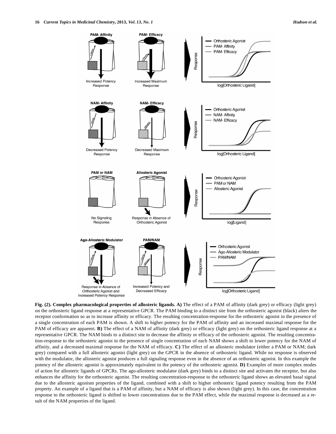

**Fig. (2). Complex pharmacological properties of allosteric ligands. A)** The effect of a PAM of affinity (dark grey) or efficacy (light grey) on the orthosteric ligand response at a representative GPCR. The PAM binding to a distinct site from the orthosteric agonist (black) alters the receptor conformation so as to increase affinity or efficacy. The resulting concentration-response for the orthosteric agonist in the presence of a single concentration of each PAM is shown. A shift to higher potency for the PAM of affinity and an increased maximal response for the PAM of efficacy are apparent. **B**) The effect of a NAM of affinity (dark grey) or efficacy (light grey) on the orthosteric ligand response at a representative GPCR. The NAM binds to a distinct site to decrease the affinity or efficacy of the orthosteric agonist. The resulting concentration-response to the orthosteric agonist in the presence of single concentration of each NAM shows a shift to lower potency for the NAM of affinity, and a decreased maximal response for the NAM of efficacy. **C)** The effect of an allosteric modulator (either a PAM or NAM; dark grey) compared with a full allosteric agonist (light grey) on the GPCR in the absence of orthosteric ligand. While no response is observed with the modulator, the allosteric agonist produces a full signaling response even in the absence of an orthosteric agonist. In this example the potency of the allosteric agonist is approximately equivalent to the potency of the orthosteric agonist. **D)** Examples of more complex modes of action for allosteric ligands of GPCRs. The ago-allosteric modulator (dark grey) binds to a distinct site and activates the receptor, but also enhances the affinity for the orthosteric agonist. The resulting concentration-response to the orthosteric ligand shows an elevated basal signal due to the allosteric agonism properties of the ligand, combined with a shift to higher orthosteric ligand potency resulting from the PAM property. An example of a ligand that is a PAM of affinity, but a NAM of efficacy is also shown (light grey). In this case, the concentration response to the orthosteric ligand is shifted to lower concentrations due to the PAM effect, while the maximal response is decreased as a result of the NAM properties of the ligand.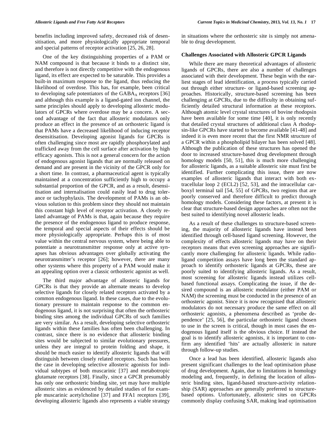benefits including improved safety, decreased risk of desensitisation, and more physiologically appropriate temporal and special patterns of receptor activation [25, 26, 28].

One of the key distinguishing properties of a PAM or NAM compound is that because it binds to a distinct site, and therefore is not directly competitive with the endogenous ligand, its effect are expected to be saturable. This provides a built-in maximum response to the ligand, thus reducing the likelihood of overdose. This has, for example, been critical to developing safe potentiators of the  $GABA_A$  receptors [36] and although this example is a ligand-gated ion channel, the same principles should apply to developing allosteric modulators of GPCRs where overdose may be a concern. A second advantage of the fact that allosteric modulators only produce an effect in the presence of an orthosteric ligand is that PAMs have a decreased likelihood of inducing receptor desensitisation. Developing agonist ligands for GPCRs is often challenging since most are rapidly phosphorylated and trafficked away from the cell surface after activation by high efficacy agonists. This is not a general concern for the action of endogenous agonist ligands that are normally released on demand and are present in the vicinity of the GPCR only for a short time. In contrast, a pharmaceutical agent is typically maintained at a concentration sufficiently high to occupy a substantial proportion of the GPCR, and as a result, desensitisation and internalisation could easily lead to drug tolerance or tachyphylaxis. The development of PAMs is an obvious solution to this problem since they should not maintain this constant high level of receptor activation. A closely related advantage of PAMs is that, again because they require the presence of the endogenous ligand to produce response, the temporal and special aspects of their effects should be more physiologically appropriate. Perhaps this is of most value within the central nervous system, where being able to potentiate a neurotransmitter response only at active synapses has obvious advantages over globally activating the neurotransmitter's receptor [26]; however, there are many other systems where this property of a PAM would make it an appealing option over a classic orthosteric agonist as well.

The third major advantage of allosteric ligands for GPCRs is that they provide an alternate means to develop selective ligands for closely related receptors activated by a common endogenous ligand. In these cases, due to the evolutionary pressure to maintain response to the common endogenous ligand, it is not surprising that often the orthosteric binding sites among the individual GPCRs of such families are very similar. As a result, developing selective orthosteric ligands within these families has often been challenging. In contrast, since there is no evidence that allosteric binding sites would be subjected to similar evolutionary pressures, unless they are integral to protein folding and shape, it should be much easier to identify allosteric ligands that will distinguish between closely related receptors. Such has been the case in developing selective allosteric agonists for individual subtypes of both muscarinic [37] and metabotropic glutamate receptors [38]. Finally, since a GPCR presumably has only one orthosteric binding site, yet may have multiple allosteric sites as evidenced by detailed studies of for example muscarinic acetylcholine [37] and FFA1 receptors [39], developing allosteric ligands also represents a viable strategy

in situations where the orthosteric site is simply not amenable to drug development.

#### **Challenges Associated with Allosteric GPCR Ligands**

While there are many theoretical advantages of allosteric ligands of GPCRs, there are also a number of challenges associated with their development. These begin with the earliest stages of lead identification, a process typically carried out through either structure- or ligand-based screening approaches. Historically, structure-based screening has been challenging at GPCRs, due to the difficulty in obtaining sufficiently detailed structural information at these receptors. Although atomic level crystal structures of bovine rhodopsin have been available for some time [40], it is only recently that detailed crystal structures of additional class A rhodopsin-like GPCRs have started to become available [41-48] and indeed it is even more recent that the first NMR structure of a GPCR within a phospholipid bilayer has been solved [48]. Although the publication of these structures has opened the door to increased structure-based drug development through homology models [50, 51], this is much more challenging for allosteric ligands, as a suitable allosteric site must first be identified. Further complicating this issue, there are now examples of allosteric ligands that interact with both extracellular loop 2 (ECL2) [52, 53], and the intracellular carboxyl terminal tail [54, 55] of GPCRs, two regions that are poorly conserved and therefore difficult to predict through homology models. Considering these factors, at present it is clear that structure-based design approaches are often not the best suited to identifying novel allosteric leads.

As a result of these challenges to structure-based screening, the majority of allosteric ligands have instead been identified through cell-based ligand screening. However, the complexity of effects allosteric ligands may have on their receptors means that even screening approaches are significantly more challenging for allosteric ligands. While radioligand competition assays have long been the standard approach to identify orthosteric ligands at GPCRs, these are poorly suited to identifying allosteric ligands. As a result, most screening for allosteric ligands instead utilizes cellbased functional assays. Complicating the issue, if the desired compound is an allosteric modulator (either PAM or NAM) the screening must be conducted in the presence of an orthosteric agonist. Since it is now recognised that allosteric modulators do not necessary produce the same effect on all orthosteric agonists, a phenomena described as 'probe dependence' [25, 56], the particular orthosteric ligand chosen to use in the screen is critical, though in most cases the endogenous ligand itself is the obvious choice. If instead the goal is to identify allosteric agonists, it is important to confirm any identified 'hits' are actually allosteric in nature through follow-up studies.

Once a lead has been identified, allosteric ligands also present significant challenges to the lead optimisation phase of drug development. Again, due to limitations in homology modeling and, frequently, in defining the location of allosteric binding sites, ligand-based structure-activity relationship (SAR) approaches are generally preferred to structurebased options. Unfortunately, allosteric sites on GPCRs commonly display confusing SAR, making lead optimisation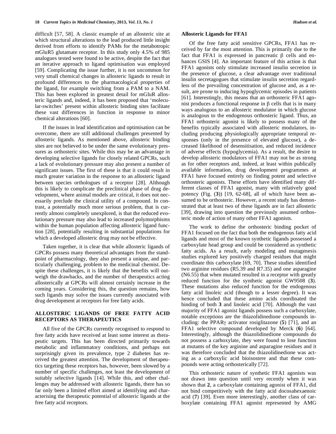difficult [57, 58]. A classic example of an allosteric site at which structural alterations to the lead produced little insight derived from efforts to identify PAMs for the metabotropic mGluR5 glutamate receptor. In this study only 4.5% of 985 analogues tested were found to be active, despite the fact that an iterative approach to ligand optimisation was employed [59]. Complicating the issue further, it is not uncommon for very small chemical changes in allosteric ligands to result in profound differences to the pharmacological properties of the ligand, for example switching from a PAM to a NAM. This has been explored in greatest detail for mGluR allosteric ligands and, indeed, it has been proposed that 'molecular-switches' present within allosteric binding sites facilitate these vast differences in function in response to minor chemical alterations [60].

If the issues in lead identification and optimisation can be overcome, there are still additional challenges presented by allosteric ligands. As mentioned above, allosteric binding sites are not believed to be under the same evolutionary pressures as orthosteric sites. While this may be an advantage in developing selective ligands for closely related GPCRs, such a lack of evolutionary pressure may also present a number of significant issues. The first of these is that it could result in much greater variation in the response to an allosteric ligand between species orthologues of a receptor [28]. Although this is likely to complicate the preclinical phase of drug development, where animal models are critical, it does not necessarily preclude the clinical utility of a compound. In contrast, a potentially much more serious problem, that is currently almost completely unexplored, is that the reduced evolutionary pressure may also lead to increased polymorphisms within the human population affecting allosteric ligand function [28], potentially resulting in substantial populations for which a developed allosteric drug may not be effective.

Taken together, it is clear that while allosteric ligands of GPCRs possess many theoretical advantages from the standpoint of pharmacology, they also present a unique, and particularly challenging, problem to the medicinal chemist. Despite these challenges, it is likely that the benefits will outweigh the drawbacks, and the number of therapeutics acting allosterically at GPCRs will almost certainly increase in the coming years. Considering this, the question remains, how such ligands may solve the issues currently associated with drug development at receptors for free fatty acids.

# **ALLOSTERIC LIGANDS OF FREE FATTY ACID RECEPTORS AS THERAPEUTICS**

All five of the GPCRs currently recognised to respond to free fatty acids have received at least some interest as therapeutic targets. This has been directed primarily towards metabolic and inflammatory conditions, and perhaps not surprisingly given its prevalence, type 2 diabetes has received the greatest attention. The development of therapeutics targeting these receptors has, however, been slowed by a number of specific challenges, not least the development of suitably selective ligands [14]. While this, and other challenges may be addressed with allosteric ligands, there has so far only been a limited effort aimed at identifying and characterising the therapeutic potential of allosteric ligands at the free fatty acid receptors.

#### **Allosteric Ligands for FFA1**

Of the free fatty acid sensitive GPCRs, FFA1 has received by far the most attention. This is primarily due to the fact that FFA1 is expressed in pancreatic  $\beta$  cells and enhances GSIS [4]. An important feature of this action is that FFA1 agonists only stimulate increased insulin secretion in the presence of glucose, a clear advantage over traditional insulin secretagogues that stimulate insulin secretion regardless of the prevailing concentration of glucose and, as a result, are prone to inducing hypoglycemic episodes in patients [61]. Interestingly, this means that an orthosteric FFA1 agonist produces a functional response in  $\beta$  cells that is in many ways analogous to an allosteric modulator in which glucose is analogous to the endogenous orthosteric ligand. Thus, an FFA1 orthosteric agonist is likely to possess many of the benefits typically associated with allosteric modulators, including producing physiologically appropriate temporal responses (only in the presence of elevated glucose), a decreased likelihood of desensitisation, and reduced incidence of adverse effects (hypoglycemia). As a result, the desire to develop allosteric modulators of FFA1 may not be as strong as for other receptors and, indeed, at least within publically available information, drug development programmes at FFA1 have focused entirely on finding potent and selective orthosteric agonists. These efforts have identified many different classes of FFA1 agonist, many with relatively good potency (Fig. (**3**)) [19, 62-68], all of which have been assumed to be orthosteric. However, a recent study has demonstrated that at least two of these ligands are in fact allosteric [39], drawing into question the previously assumed orthosteric mode of action of many other FFA1 agonists.

The work to define the orthosteric binding pocket of FFA1 focused on the fact that both the endogenous fatty acid ligands and most of the known synthetic ligands possessed a carboxylate head group and could be considered as synthetic fatty acids. As a result, early modeling and mutagenesis studies explored key positively charged residues that might coordinate this carboxylate [69, 70]. These studies identified two arginine residues (R5.39 and R7.35) and one asparagine (N6.55) that when mutated resulted in a receptor with greatly reduced function for the synthetic agonist GW9508 (**3**). These mutations also reduced function for the endogenous fatty acid linoleic acid (though to a lesser degree). It was hence concluded that these amino acids coordinated the binding of both **3** and linoleic acid [70]. Although the vast majority of FFA1 agonist ligands possess such a carboxylate, notable exceptions are the thiazolidinedione compounds including: the PPAR $\gamma$  activator rosiglitazone (5) [71], and an FFA1 selective compound developed by Merck (**6**) [64]. Interestingly, although the thiazolidinedione compounds do not possess a carboxylate, they were found to lose function at mutants of the key arginine and asparagine residues and it was therefore concluded that the thiazolidinedione was acting as a carboxylic acid bioisostere and that these compounds were acting orthosterically [72].

This orthosteric nature of synthetic FFA1 agonists was not drawn into question until very recently when it was shown that **2**, a carboxylate containing agonist of FFA1, did not bind competitively with the fatty acid docosahexaenoic acid (**7**) [39]. Even more interestingly, another class of carboxylate containing FFA1 agonist represented by AMG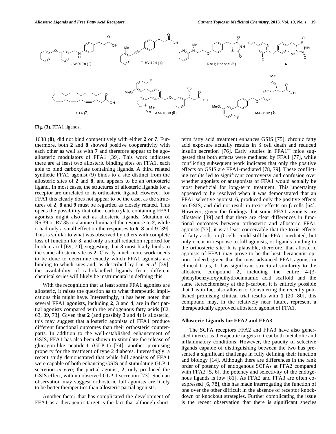

**Fig. (3).** FFA1 ligands.

1638 (**8**), did not bind competitively with either **2** or **7**. Furthermore, both **2** and **8** showed positive cooperativity with each other as well as with **7** and therefore appear to be agoallosteric modulators of FFA1 [39]. This work indicates there are at least two allosteric binding sites on FFA1, each able to bind carboxylate containing ligands. A third related synthetic FFA1 agonist (**9**) binds to a site distinct from the allosteric sites of **2** and **8**, and appears to be an orthosteric ligand. In most cases, the structures of allosteric ligands for a receptor are unrelated to its orthosteric ligand. However, for FFA1 this clearly does not appear to be the case, as the structures of **2**, **8** and **9** must be regarded as closely related. This opens the possibility that other carboxylate containing FFA1 agonists might also act as allosteric ligands. Mutation of R5.39 or R7.35 to alanine eliminated the response to **2**, while it had only a small effect on the responses to **6**, **8** and **9** [39]. This is similar to what was observed by others with complete loss of function for **3**, and only a small reduction reported for linoleic acid [69, 70], suggesting that **3** most likely binds to the same allosteric site as **2**. Clearly much more work needs to be done to determine exactly which FFA1 agonists are binding to which sites and, as described by Lin *et al.* [39], the availability of radiolabelled ligands from different chemical series will likely be instrumental in defining this.

With the recognition that at least some FFA1 agonists are allosteric, it raises the question as to what therapeutic implications this might have. Interestingly, it has been noted that several FFA1 agonists, including **2**, **3** and **4**, are in fact partial agonists compared with the endogenous fatty acids [62, 63, 39, 73]. Given that **2** (and possibly **3** and **4**) is allosteric, this may suggest that allosteric agonists of FFA1 produce different functional outcomes than their orthosteric counterparts. In addition to the well-established enhancement of GSIS, FFA1 has also been shown to stimulate the release of glucagon-like peptide-1 (GLP-1) [74], another promising property for the treatment of type 2 diabetes. Interestingly, a recent study demonstrated that while full agonists of FFA1 were capable of both enhancing GSIS and stimulating GLP-1 secretion *in vivo*; the partial agonist, **2**, only produced the GSIS effect, with no observed GLP-1 secretion [73]. Such an observation may suggest orthosteric full agonists are likely to be better therapeutics than allosteric partial agonists.

Another factor that has complicated the development of FFA1 as a therapeutic target is the fact that although shortterm fatty acid treatment enhances GSIS [75], chronic fatty acid exposure actually results in  $\beta$  cell death and reduced insulin secretion [76]. Early studies in FFA1 $\cdot$  mice suggested that both effects were mediated by FFA1 [77], while conflicting subsequent work indicates that only the positive effects on GSIS are FFA1-mediated [78, 79]. These conflicting results led to significant controversy and confusion over whether agonists or antagonists of FFA1 would actually be most beneficial for long-term treatment. This uncertainty appeared to be resolved when it was demonstrated that an FFA1 selective agonist, **6**, produced only the positive effects on GSIS, and did not result in toxic effects on  $\beta$  cells [64]. However, given the findings that some FFA1 agonists are allosteric [39] and that there are clear differences in functional outcomes between orthosteric and allosteric FFA1 agonists [73], it is at least conceivable that the toxic effects of fatty acids on  $\beta$  cells could still be FFA1 mediated, but only occur in response to full agonists, or ligands binding to the orthosteric site. It is plausible, therefore, that allosteric agonists of FFA1 may prove to be the best therapeutic option. Indeed, given that the most advanced FFA1 agonist in clinical trials, **1**, has significant structural similarity to the allosteric compound **2**, including the entire 4-(3 phenylbenzyloxy)dihydrocinnamic acid scaffold and the same stereochemistry at the  $\beta$ -carbon, it is entirely possible that **1** is in fact also allosteric. Considering the recently published promising clinical trial results with **1** [20, 80], this compound may, in the relatively near future, represent a therapeutically approved allosteric agonist of FFA1.

#### **Allosteric Ligands for FFA2 and FFA3**

The SCFA receptors FFA2 and FFA3 have also generated interest as therapeutic targets to treat both metabolic and inflammatory conditions. However, the paucity of selective ligands capable of distinguishing between the two has presented a significant challenge in fully defining their function and biology [14]. Although there are differences in the rank order of potency of endogenous SCFAs at FFA2 compared with FFA3 [5, 6], the potency and selectivity of the endogenous ligands is low [81]. As FFA2 and FFA3 are often coexpressed [6, 78], this has made interrogating the function of one over the other difficult in the absence of receptor knockdown or knockout strategies. Further complicating the issue is the recent observation that there is significant species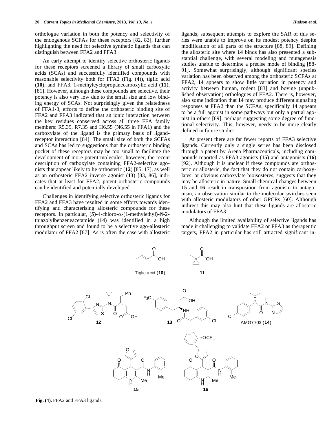orthologue variation in both the potency and selectivity of the endogenous SCFAs for these receptors [82, 83], further highlighting the need for selective synthetic ligands that can distinguish between FFA2 and FFA3.

An early attempt to identify selective orthosteric ligands for these receptors screened a library of small carboxylic acids (SCAs) and successfully identified compounds with reasonable selectivity both for FFA2 (Fig. (**4**)), tiglic acid (**10**), and FFA3, 1-methylcyclopropanecarboxylic acid (**11**), [81]. However, although these compounds are selective, their potency is also very low due to the small size and low binding energy of SCAs. Not surprisingly given the relatedness of FFA1-3, efforts to define the orthosteric binding site of FFA2 and FFA3 indicated that an ionic interaction between the key residues conserved across all three FFA family members: R5.39, R7.35 and H6.55 (N6.55 in FFA1) and the carboxylate of the ligand is the primary basis of ligandreceptor interaction [84]. The small size of both the SCFAs and SCAs has led to suggestions that the orthosteric binding pocket of these receptors may be too small to facilitate the development of more potent molecules, however, the recent description of carboxylate containing FFA2-selective agonists that appear likely to be orthosteric (**12**) [85, 17], as well as an orthosteric FFA2 inverse agonist (**13**) [83, 86], indicates that at least for FFA2, potent orthosteric compounds can be identified and potentially developed.

Challenges in identifying selective orthosteric ligands for FFA2 and FFA3 have resulted in some efforts towards identifying and characterising allosteric compounds for these receptors. In particular,  $(S)$ -4-chloro- $\alpha$ - $(1$ -methylethyl)-*N*-2thiazolylbenzeneacetamide (**14**) was identified in a high throughput screen and found to be a selective ago-allosteric modulator of FFA2 [87]. As is often the case with allosteric ligands, subsequent attempts to explore the SAR of this series were unable to improve on its modest potency despite modification of all parts of the structure [88, 89]. Defining the allosteric site where **14** binds has also presented a substantial challenge, with several modeling and mutagenesis studies unable to determine a precise mode of binding [88- 91]. Somewhat surprisingly, although significant species variation has been observed among the orthosteric SCFAs at FFA2, **14** appears to show little variation in potency and activity between human, rodent [83] and bovine (unpublished observation) orthologues of FFA2. There is, however, also some indication that **14** may produce different signaling responses at FFA2 than the SCFAs, specifically **14** appears to be a full agonist in some pathways but only a partial agonist in others [89], perhaps suggesting some degree of functional selectivity. This, however, needs to be more clearly defined in future studies.

At present there are far fewer reports of FFA3 selective ligands. Currently only a single series has been disclosed through a patent by Arena Pharmaceuticals, including compounds reported as FFA3 agonists (**15**) and antagonists (**16**) [92]. Although it is unclear if these compounds are orthosteric or allosteric, the fact that they do not contain carboxylates, or obvious carboxylate bioisosteres, suggests that they may be allosteric in nature. Small chemical changes between **15** and **16** result in transposition from agonism to antagonism, an observation similar to the molecular switches seen with allosteric modulators of other GPCRs [60]. Although indirect this may also hint that these ligands are allosteric modulators of FFA3.

Although the limited availability of selective ligands has made it challenging to validate FFA2 or FFA3 as therapeutic targets, FFA2 in particular has still attracted significant in-



**Fig. (4).** FFA2 and FFA3 ligands.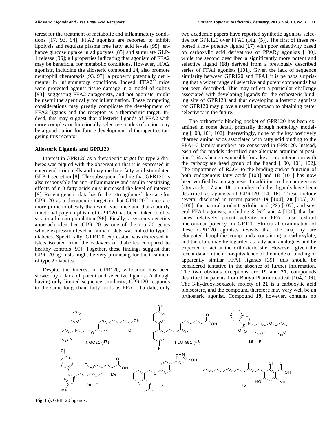terest for the treatment of metabolic and inflammatory conditions [17, 93, 94]. FFA2 agonists are reported to inhibit lipolysis and regulate plasma free fatty acid levels [95], enhance glucose uptake in adipocytes [85] and stimulate GLP-1 release [96]; all properties indicating that agonism of FFA2 may be beneficial for metabolic conditions. However, FFA2 agonists, including the allosteric compound **14**, also promote neutrophil chemotaxis [93, 97], a property potentially detrimental in inflammatory conditions. Indeed,  $FFA2^{-/-}$  mice were protected against tissue damage in a model of colitis [93], suggesting FFA2 antagonists, and not agonists, might be useful therapeutically for inflammation. These competing considerations may greatly complicate the development of FFA2 ligands and the receptor as a therapeutic target. Indeed, this may suggest that allosteric ligands of FFA2 with more complex or functionally selective modes of action may be a good option for future development of therapeutics targeting this receptor.

#### **Allosteric Ligands and GPR120**

Interest in GPR120 as a therapeutic target for type 2 diabetes was piqued with the observation that it is expressed in enteroendocrine cells and may mediate fatty acid-stimulated GLP-1 secretion [8]. The subsequent finding that GPR120 is also responsible for anti-inflammatory and insulin sensitizing effects of n-3 fatty acids only increased the level of interest [9]. Recent genetic data has further strengthened the case for GPR120 as a therapeutic target in that  $GPR120<sup>-/-</sup>$  mice are more prone to obesity than wild type mice and that a poorly functional polymorphism of GPR120 has been linked to obesity in a human population [98]. Finally, a systems genetics approach identified GPR120 as one of the top 20 genes whose expression level in human islets was linked to type 2 diabetes. Specifically, GPR120 expression was decreased in islets isolated from the cadavers of diabetics compared to healthy controls [99]. Together, these findings suggest that GPR120 agonists might be very promising for the treatment of type 2 diabetes.

Despite the interest in GPR120, validation has been slowed by a lack of potent and selective ligands. Although having only limited sequence similarity, GPR120 responds to the same long chain fatty acids as FFA1. To date, only two academic papers have reported synthetic agonists selective for GPR120 over FFA1 (Fig. (**5**)). The first of these reported a low potency ligand (**17**) with poor selectivity based on carboxylic acid derivatives of PPAR $\gamma$  agonists [100], while the second described a significantly more potent and selective ligand (**18**) derived from a previously described series of FFA1 agonists [101]. Given the lack of sequence similarity between GPR120 and FFA1 it is perhaps surprising that a wider range of selective and potent compounds has not been described. This may reflect a particular challenge associated with developing ligands for the orthosteric binding site of GPR120 and that developing allosteric agonists for GPR120 may prove a useful approach to obtaining better selectivity in the future.

The orthosteric binding pocket of GPR120 has been examined in some detail, primarily through homology modeling [100, 101, 102]. Interestingly, none of the key positively charged amino acids associated with fatty acid binding to the FFA1-3 family members are conserved in GPR120. Instead, each of the models identified one alternate arginine at position 2.64 as being responsible for a key ionic interaction with the carboxylate head group of the ligand [100, 101, 102]. The importance of R2.64 to the binding and/or function of both endogenous fatty acids [103] and **18** [101] has now been verified by mutagenesis. In addition to the endogenous fatty acids, **17** and **18**, a number of other ligands have been described as agonists of GPR120 [14, 16]. These include several disclosed in recent patents **19** [104], **20** [105], **21** [106]; the natural product grifolic acid (**22**) [107]; and several FFA1 agonists, including **3** [62] and **4** [101], that besides relatively potent activity on FFA1 also exhibit micromolar potency on GR120. Structural examination of these GPR120 agonists reveals that the majority are elongated lipophilic compounds containing a carboxylate, and therefore may be regarded as fatty acid analogues and be expected to act at the orthosteric site. However, given the recent data on the non-equivalence of the mode of binding of apparently similar FFA1 ligands [39], this should be considered tentative in the absence of further information. The two obvious exceptions are **19** and **21**, compounds described in patents from Banyu Pharmaceutical [104, 106]. The 3-hydroxyisoxazole moiety of **21** is a carboxylic acid bioisostere, and the compound therefore may very well be an orthosteric agonist. Compound **19,** however, contains no



**Fig. (5).** GPR120 ligands.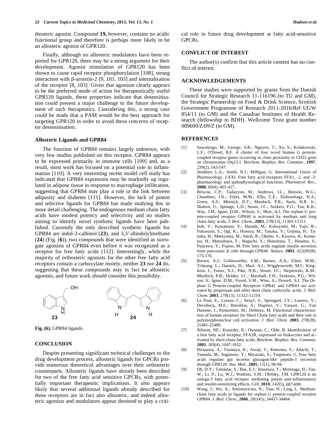thosteric agonist. Compound **19,** however, contains no acidic functional group and therefore is perhaps more likely to be an allosteric agonist of GPR120.

Finally, although no allosteric modulators have been reported for GPR120, there may be a strong argument for their development. Agonist stimulation of GPR120 has been shown to cause rapid receptor phosphorylation [108], strong interaction with  $\beta$ -arrestin-2 [9, 101, 103] and internalisation of the receptor [8, 103]. Given that agonism clearly appears to be the preferred mode of action for therapeutically useful GPR120 ligands, these properties indicate that desensitisation could present a major challenge to the future development of such therapeutics. Considering this, a strong case could be made that a PAM would be the best approach for targeting GPR120 in order to avoid these concerns of receptor desensitisation.

#### **Allosteric Ligands and GPR84**

The function of GPR84 remains largely unknown, with very few studies published on this receptor. GPR84 appears to be expressed primarily in immune cells [109] and, as a result, most work has focused on a potential role in inflammation [110]. A very interesting recent model cell study has indicated that GPR84 expression may be markedly up regulated in adipose tissue in response to macrophage infiltration, suggesting that GPR84 may play a role in the link between adiposity and diabetes [111]. However, the lack of potent and selective ligands for GPR84 has made studying this in more detail challenging. The endogenous medium chain fatty acids have modest potency and selectivity and no studies aiming to identify novel synthetic ligands have been published. Currently the only described synthetic ligands for GPR84 are indol-3-calbinol (**23**), and 3,3'-diindolylmethane (**24**) (Fig. (**6**)), two compounds that were identified as surrogate agonists of GPR84 even before it was recognized as a receptor for free fatty acids [112]. Interestingly, while the majority of orthosteric agonists for the other free fatty acid receptors contain a carboxylate moiety, neither **23** nor **24** do, suggesting that these compounds may in fact be allosteric agonists, and future work should consider this possibility.



**Fig. (6).** GPR84 ligands.

### **CONCLUSION**

Despite presenting significant technical challenges to the drug development process, allosteric ligands for GPCRs provide numerous theoretical advantages over their orthosteric counterparts. Allosteric ligands have already been described for two of the free fatty acid sensitive GPCRs, with potentially important therapeutic implications. It also appears likely that several additional ligands already described for these receptors are in fact also allosteric, and indeed allosteric agonists and modulators appear destined to play a critical role in future drug development at fatty acid-sensitive GPCRs.

#### **CONFLICT OF INTEREST**

The author(s) confirm that this article content has no conflict of interest.

#### **ACKNOWLEDGEMENTS**

These studies were supported by grants from the Danish Council for Strategic Research 11-116196 (to TU and GM), the Strategic Partnership on Food & Drink Science, Scottish Government Programme of Research 2011-2016/Ref UGW 854/11 (to GM) and the Canadian Institutes of Health Research (fellowship to BDH). Wellcome Trust grant number 089600/Z/09/Z (to GM).

### **REFERENCES**

- [1] Sawzdargo, M.; George, S.R.; Nguyen, T.; Xu, S.; Kolakowski, L.F.; O'Dowd, B.F. A cluster of four novel human G proteincoupled receptor genes occurring in close proximity to CD22 gene on chromosome 19q13.1. *Biochem. Biophys. Res. Commun.*, **1997**, *239*(2), 543-547.
- [2] Stoddart, L.A.; Smith, N.J.; Milligan, G. International Union of Pharmacology. LXXI. Free fatty acid receptors FFA1, -2, and -3: pharmacology and pathophysiological functions. *Pharmacol. Rev*., **2008**, *60*(4), 405-417.
- [3] Briscoe, C.P.; Tadayyon, M.; Andrews, J.L.; Benson, W.G.; Chambers, J.K.; Eilert, M.M.; Ellis, C.E.; Elshourbagy, N.A.; Goetz, A.S.; Minnick, D.T.; Murdock, P.R.; Sauls, H.R. Jr.; Shabon, U.; Spinage, L.D.; Strum, J.C.; Szekers, P.G.; Tan, K.B.; Way, J.M.; Ignar, D.M.; Wilson, S.; Muir, A.I. The orphan G protein-coupled receptor GPR40 is activated by medium and long chain fatty acids. *J. Biol. Chem*., **2003**, *278*(13), 11303-11311.
- [4] Itoh, Y.; Kawamata, Y.; Harada, M.; Kobayashi, M.; Fujii, R.; Fukusumi, S.; Ogi, K.; Hosoya, M.; Tanaka, Y.; Uejima, H.; Tanaka, H.; Maruyama, M.; Satoh, R.; Okubo, S.; Kizawa, H.; Komatsu, H.; Matsumura, F.; Noguchi, Y.; Shinohara, T.; Hinuma, S.; Fujisawa, Y.; Fujino, M. Free fatty acids regulate insulin secretion from pancreatic  $\beta$  cells through GPR40. *Nature*, **2003**,  $422(6928)$ , 173-176.
- [5] Brown, A.J.; Goldsworthy, S.M.; Barnes, A.A.; Eilert, M.M.; Tcheang, L.; Daniels, D.; Muir, A.I.; Wigglesworth, M.J.; Kinghorn, I.; Fraser, N.J.; Pike, N.B.; Strum, J.C.; Steplewski, K.M.; Murdock, P.R.; Holder, J.C.; Marshall, F.H.; Szekeres, P.G.; Wilson, S.; Ignar, D.M.; Foord, S.M.; Wise, A.; Dowell, S.J. The Orphan G Protein-coupled Receptors GPR41 and GPR43 are activated by propionate and other short chain carboxylic acids. *J. Biol. Chem*. **2003**, *278*(13), 11312-11319.
- [6] Le Poul, E.; Loison, C.; Struyf, S.; Springael, J.Y.; Lannoy, V.; Decobecq, M.E.; Brezillon, S.; Dupriez, V.; Vassart, G.; Van Damme, J.; Parmentier, M.; Detheux, M. Functional characterization of human receptors for Short Chain fatty acids and their role in polymorphonuclear cell activation. *J. Biol. Chem*. **2003**, *278*(28), 25481-25489.
- [7] Nilsson, NE.; Kotarsky, K.; Owman, C.; Olde, B. Identification of a free fatty acid receptor, FFA2R, expressed on leukocytes and activated by short-chain fatty acids. *Biochem. Biophys. Res. Commun*. **2003**, *303*(4), 1047-1052.
- [8] Hirasawa, A.; Tsumaya, K.; Awaji, T.; Katsuma, S.; Adachi, T.; Tamada, M.; Sugimoto, Y.; Miyazaki, S.; Tsujimoto, G. Free fatty acids regulate gut incretin glucagon-like peptide-1 secretion through GPR120. *Nat. Med*., **2005**, *11*(1), 90-94.
- [9] Oh, D.Y.; Talukdar, S.; Bae, E.J.; Imamura, T.; Morinaga, H.; Fan, W.; Li, P.; Lu, W.J.; Watkins, S.M.; Olefsky, J.M. GPR120 is an omega-3 fatty acid receptor mediating potent anti-inflammatory and insulin-sensitizing effects. *Cell*. **2010**, *142*(5), 687-698.
- [10] Wang, J.; Wu, X.; Simonavicius, N.; Tian, H.; Ling, L. Mediumchain fatty acids as ligands for orphan G protein-coupled receptor GPR84. *J. Biol. Chem*., **2006**, *281*(45), 34457-34464.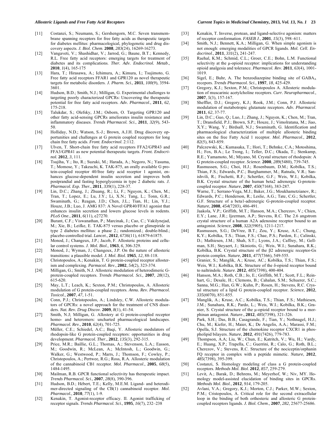#### *Allosteric Ligands and Free Fatty Acid Receptors Current Topics in Medicinal Chemistry,* **2013***, Vol. 13, No. 1* **23**

- [11] Costanzi, S.; Neumann, S.; Gershengorn, M.C. Seven transmembrane spanning receptors for free fatty acids as therapeutic targets for diabetes mellitus: pharmacological, phylogenetic and drug discovery aspects. *J. Biol. Chem*. **2008**, *283*(24), 16269-16273.
- [12] Vangaveti, V.; Shashidhar, V.; Jarrod, G.; Baune, B.T.; Kennedy, R.L. Free fatty acid receptors: emerging targets for treatment of diabetes and its complications. *Ther. Adv. Endocrinol. Metab*., **2010**, *1*(4), 165-175
- [13] Hara, T.; Hirasawa, A.; Ichimura, A.; Kimura, I.; Tsujimoto, G. Free fatty acid receptors FFAR1 and GPR120 as novel therapeutic targets for metabolic disorders. *J. Pharm. Sci.*, **2011**, *100*(9), 3594- 3601.
- [14] Hudson, B.D.; Smith, N.J.; Milligan, G. Experimental challenges to targeting poorly characterized GPCRs: Uncovering the therapeutic potential for free fatty acid receptors. *Adv. Pharmacol*., **2011**, *62*, 175-218.
- [15] Talukdar, S.; Olefsky, J.M.; Osborn, O. Targeting GPR120 and other fatty acid-sensing GPCRs ameliorates insulin resistance and inflammatory diseases. *Trends Pharmacol. Sci*., **2011**, *32*(9), 543- 50.
- [16] Holliday, N.D.; Watson, S.-J.; Brown, A.J.H. Drug discovery opportunities and challenges at G protein coupled receptors for long chain free fatty acids. *Front. Endocrinol*. 2:112.
- [17] Ulven, T. Short-chain free fatty acid receptors FFA2/GPR43 and FFA3/GPR41 as new potential therapeutic targets. *Front. Endocrinol.* **2012**, *3*, 111.
- [18] Tsujiha, Y.; Ito, R.; Suzuki, M.; Harada, A.; Negoro, N.; Yasuma, T.; Momose, Y.; Takeuchi, K. TAK-875, an orally available G protein-coupled receptor 40/free fatty acid receptor 1 agonist, enhances glucose-dependent insulin secretion and improves both postprandial and fasting hyperglycemia in type 2 diabetic rats. *J. Pharmacol. Exp. Ther.*, **2011**, *339*(1), 228-37.
- [19] Lin, D.C.; Zhang, J.; Zhuang, R.; Li, F.; Nguyen, K.; Chen, M.; Tran, T.; Lopez, E.; Lu, J.Y.; Li, X.N.; Tang, L.; Tonn, G.R.; Swaminath, G.; Reagan, J.D.; Chen, J.L.; Tian, H.; Lin, Y.J.; Houze, J.B.; Luo, J. AMG 837: A Novel GPR40/FFA1 agonist that enhances insulin secretion and lowers glucose levels in rodents. *PLoS One*., **2011**, *6*(11), e27270.
- [20] Burant, C.F.; Viswanathan, P.; Marcinak, J.; Cao, C.; Vakilynejad, M.; Xie, B.; Leifke, E. TAK-875 versus placebo or glimepiride in type 2 diabetes mellitus: a phase 2.; randomized.; double-blind.; placebo-controlled trial. *Lancet*., **2012**, *6736*(11), 61879-61875.
- [21] Monod, J.; Changeux, J.P.; Jacob, F. Allosteric proteins and cellular control systems. *J. Mol. Biol*., **1963**, *6*, 306-329.
- [22] Monod, J.; Wyman, J.; Changeux, J.P. On the nature of allosteric transitions: a plausible model. *J. Mol. Biol.* **1965**, *12*, 88-118.
- [23] Christopoulos, A.; Kenakin, T. G protein-coupled receptor allosterism and complexing. *Parmacol. Rev*., **2002**, *54*(2), 323-374.
- [24] Milligan, G.; Smith, N.J. Allosteric modulation of heterodimeric Gprotein-coupled receptors. *Trends Pharmacol. Sci.,* **2007**, *28*(12), 615-620.
- [25] May, L.T.; Leach, K.; Sexton, P.M.; Christopoulos, A. Allosteric modulation of G protein-coupled receptors. *Annu. Rev. Pharmacol. Toxicol*., **2007**, *47*, 1-51.
- [26] Conn, P.J.; Christopoulos, A.; Lindsley, C.W. Allosteric modulators of GPCRs: a novel approach for the treatment of CNS disorders. *Nat. Rev. Drug Discov*. **2009**, *8*(1), 41-54.
- [27] Smith, N.J; Milligan, G. Allostery at G protein-coupled receptor homo- and heteromers: uncharted pharmacological landscapes. *Pharmacol. Rev*., **2010**, *62*(4), 701-725.
- [28] Müller, C.E.; Schiedel, A.C.; Baqi, Y. Allosteric modulators of rhodopsin-like G protein-coupled receptors: opportunities in drug development. *Pharmacol. Ther*., **2012**, *135*(3), 292-315.
- [29] Price, M.R.; Baillie, G.L.; Thomas, A.; Stevenson, L.A.; Easson, M.; Goodwin, R.; McLean, A.; McIntosh, L.; Goodwin, G.; Walker, G.; Westwood, P.; Marrs, J.; Thomson, F.; Cowley, P.; Christopoulos, A.; Pertwee, R.G.; Ross, R.A. Allosteric modulation of the cannabinoid CB1 receptor. *Mol. Pharmacol*., **2005**, *68*(5), 1484-1495.
- [30] Mailman, R.B. GPCR functional selectivity has therapeutic impact. *Trends Pharmacol. Sci*., **2007**, *28*(8), 390-396.
- [31] Hudson, B.D.; Hébert, T.E.; Kelly, M.E.M. Ligand- and heterodimer-directed signaling of the CB(1) cannabinoid receptor. *Mol. Pharmacol.*, **2010**, *77*(1), 1-9.
- [32] Kenakin, T. Agonist-receptor efficacy. II. Agonist trafficking of receptor signals. *Trends Pharmacol. Sci*., **1995**, *16*(7), 232–238
- [33] Kenakin, T. Inverse, protean, and ligand-selective agonism: matters of receptor conformation. *FASEB J*., **2001**, *15*(3), 598–611.
- [34] Smith, N.J.; Bennett, K.A.; Milligan, G. When simple agonism is not enough: emerging modalities of GPCR ligands. *Mol. Cell. Endocrinol*., **2011**, *331*(2), 241-247.
- [35] Raehal, K.M.; Schmid, C.L.; Groer, C.E.; Bohn, L.M. Functional selectivity at the μ-opioid receptor: implications for understanding opioid analgesia and tolerance. *Pharmacol. Rev*. **2011**, *63*(4), 1001- 1019.
- [36] Sigel, E.; Buhr, A. The benzodiazepine binding site of GABA<sub>A</sub> recepors. *Trends Pharmacol. Sci*., **1997**, *18*, 425-429.
- [37] Gregory, K.J.; Sexton, P.M.; Christopoulos A. Allosteric modulation of muscarinic acetylcholine receptors. *Curr. Neuropharmacol*., **2007**, *5*(3), 157-167.
- [38] Sheffler, D.J.; Gregory, K.J.; Rook, J.M.; Conn, P.J. Allosteric modulation of metabotropic glutamate receptors. *Adv. Pharmacol*. **2011**, *62*, 37-77.
- [39] Lin, D.C.; Guo, Q.; Luo, J.; Zhang, J.; Nguyen, K.; Chen, M.; Tran, T.; Dransfield, P.J.; Brown, S.P.; Houze, J.; Vimolratana, M.; Jiao, X.Y.; Wang, Y.; Birdsall, N.J.; Swaminath, G. Identification and pharmacological characterization of multiple allosteric binding sites on the free Fatty Acid 1 receptor. *Mol. Pharmacol*., **2012**, *82*(5), 843-859.
- [40] Palczewski, K.; Kumasaka, T.; Hori, T.; Behnke, C.A.; Motoshima, H.; Fox, B.A.; Le Trong, I.; Teller, D.C.; Okada, T.; Stenkamp, R.E.; Yamamoto, M.; Miyano, M. Crystal structure of rhodopsin: A G protein-coupled receptor. *Science*. **2000**, *289*(5480), 739-745.
- [41] Rasmussen, S.G.; Choi, H.J.; Rosenbaum, D.M.; Kobilka, T.S.; Thian, F.S.; Edwards, P.C.; Burghammer, M.; Ratnala, V.R.; Sanishvili, R.; Fischetti, R.F.; Schertler, G.F.; Weis, W.I.; Kobilka, B.K. Crystal structure of the human beta2 adrenergic G-proteincoupled receptor. *Nature*, **2007**, *450*(7168), 383-287.
- [42] Warne, T.; Serrano-Vega, M.J.; Baker, J.G.; Moukhametzianov, R.; Edwards, P.C.; Henderson, R.; Leslie, A.G.; Tate, C.G.; Schertler, G.F. Structure of a beta1-adrenergic G-protein-coupled receptor. *Nature*, **2008**, *454*(7203), 486-491.
- [43] Jaakola, V.P.; Griffith, M.T.; Hanson, M.A.; Cherezov, V.; Chien, E.Y.; Lane, J.R.; Ijzerman, A.P.; Stevens, R.C. The 2.6 angstrom crystal structure of a human A2A adenosine receptor bound to an antagonist. *Science*, **2008**, *322*(5905), 1211-1217.
- [44] Rasmussen, S.G.; DeVree, B.T.; Zou, Y.; Kruse, A.C.; Chung, K.Y.; Kobilka, T.S.; Thian, F.S.; Chae, P.S.; Pardon, E.; Calinski, D.; Mathiesen, J.M.; Shah, S.T.; Lyons, J.A.; Caffrey, M.; Gellman, S.H.; Steyaert, J.; Skiniotis, G.; Weis, W.I.; Sunahara, R.K.; Kobilka, B.K. Crystal structure of the  $\beta$ 2 adrenergic receptor-Gs protein complex. *Nature*, **2011**, *477*(7366), 549-555.
- [45] Granier, S.; Manglik, A.; Kruse, AC.; Kobilka, T.S.; Thian, F.S.; Weis, W.I.; Kobilka, B.K. Structure of the  $\delta$ -opioid receptor bound to naltrindole. *Nature*. **2012**, *485*(7398), 400-404.
- [46] Hanson, M.A.; Roth, C.B.; Jo, E.; Griffith, M.T.; Scott, F.L.; Reinhart, G.; Desale, H.; Clemons, B.; Cahalan, S.M.; Schuerer, S.C.; Sanna, M.G.; Han, G.W.; Kuhn, P.; Rosen, H.; Stevens, R.C. Crystal structure of a lipid G protein-coupled receptor. *Science*, **2012**, *335*(6070), 851-855.
- [47] Manglik, A.; Kruse, A.C.; Kobilka, T.S.; Thian, F.S.; Mathiesen, J.M.; Sunahara, R.K.; Pardo, L.; Weis, W.I.; Kobilka, B.K.; Granier, S. Crystal structure of the  $\mu$ -opioid receptor bound to a morphinan antagonist. *Nature*., **2012**, *485*(7398), 321-326.
- [48] Park, S.H.; Das, B.B.; Casagrande, F.; Tian, Y.; Nothnagel, H.J.; Chu, M.; Kiefer, H.; Maier, K.; De Angelis, A.A.; Marassi, F.M.; Opella, S.J. Structure of the chemokine receptor CXCR1 in phospholipid bilayers. *Nature,* **2012**, *491*(7426), 779-783.
- [49] Thompson, A.A; Liu, W.; Chun, E.; Katritch, V.; Wu, H.; Vardy, E.; Huang, X.P.; Trapella, C.; Guerrini, R.; Calo, G.; Roth, B.L.; Cherezov, V.; Stevens, R.C. Structure of the nociceptin/orphanin FQ receptor in complex with a peptide mimetic. *Nature*, **2012**, *485*(7398), 395-399.
- [50] Costanzi, S. Homology modeling of class a G protein-coupled receptors. *Methods Mol. Biol*. **2012**, *857*, 259-279.
- [51] Levit, A.; Barak, D.; Behrens, M.; Meyerhof, W.; Niv, MY. Homology model-assisted elucidation of binding sites in GPCRs. *Methods Mol. Biol*., **2012**, *914*, 179-205.
- [52] Avlani, V.A.; Gregory, K.J.; Morton, C.J.; Parker, M.W.; Sexton, P.M.; Cristopoulos, A. Critical role for the second extracellular loop in the binding of both orthosteric and allosteric G proteincoupled receptors ligands. *J. Biol. Chem*., **2007**, *282*, 25677-25686.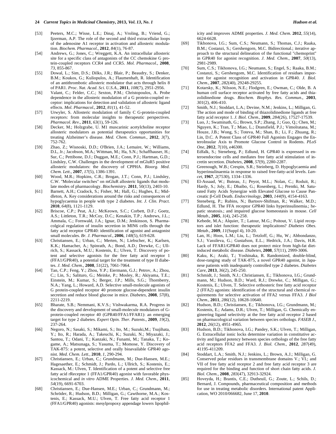- [53] Peeters, M.C.; Wisse, L.E.; Dinaj, A.; Vroling, B.; Vriend, G.; Ijzerman, A.P. The role of the second and third extracellular loops of the adenosine A1 receptor in activation and allosteric modulation. *Biochem. Pharmacol*., **2012**, *84*(1), 76-87.
- [54] Andrews, G.; Jones, C.; Wreggett, K.A. An intracellular allosteric site for a specific class of antagonists of the CC chemokine G protein-coupled receptors CCR4 and CCR5. *Mol. Pharmacol*., **2008**, *73*, 855-867.
- [55] Dowal, L.; Sim, D.S.; Dilks, J.R.; Blair, P.; Beaudry, S.; Denker, B.M.; Koukos, G.; Kuliopulos, A.; Flaumenhaft, R. Identification of an antithrombotic allosteric modulator that acts through helix 8 of PAR1. *Proc. Nat. Acad. Sci. U.S.A.,* **2011**, *108*(7), 2951-2956.
- [56] Valant, C.; Felder, C.C.; Sexton, P.M.; Christopoulos, A. Probe dependence in the allosteric modulation of a G protein-coupled receptor: implications for detection and validation of allosteric ligand effects. *Mol. Pharmacol*., **2012**, *81*(1), 41-52.
- [57] Urwyler, S. Allosteric modulation of family C G-protein-coupled receptors: from molecular insights to therapeutic perspectives. *Pharmacol. Rev*., **2011**, *63*(1), 59-126.
- [58] Decker, M.; Holzgrabe, U. M1 muscarinic acetylcholine receptor allosteric modulators as potential therapeutics opportunities for treating Alzheimer's disease. *Med. Chem. Commun*., **2012**, *3*(7), 752-762.
- [59] Zhao, Z.; Wisnoski, D.D.; O'Brien, J.A.; Lemaire, W.; Williams, D.L, Jr.; Jacobson, M.A.; Wittman, M.; Ha, S.N.; Schaffhauser, H.; Sur, C.; Pettibone, D.J.; Duggan, M.E.; Conn, P.J.; Hartman, G.D.; Lindsley, C.W. Challenges in the development of mGluR5 positive allosteric modulators: the discovery of CPPHA. *Bioorg. Med. Chem. Lett*., **2007**, *17*(5), 1386-1391.
- [60] Wood, M.R.; Hopkins, C.R.; Brogan, J.T.; Conn, P.J.; Lindsley, C.W. "Molecular switches" on mGluR allosteric ligands that modulate modes of pharmacology. *Biochemistry*. **2011**, 50(13), 2403-10.
- [61] Barnett, A.H.; Cradock, S.; Fisher, M.; Hall, G.; Hughes, E.; Middleton, A. Key considerations around the risks and consequences of hypoglycaemia in people with type 2 diabetes. *Int. J. Clin. Pract*. **2010**, *64*(8), 1121-1129.
- [62] Briscoe, C.P.; Peat, A.J.; McKeown, S.C.; Corbett, D.F.; Goetz, A.S.; Littleton, T.R.; McCoy, D.C.; Kenakin, T.P.; Andrews, J.L.; Ammala, C.; Fornwald, J.A.; Ignar, D.M.; Jenkinson, S. Pharmacolgical regulation of insulin secretion in MIN6 cells through the fatty acid receptor GPR40: identification of agonist and antagonist small molecules. *Br. J. Pharmacol*., **2006**, *148*(5), 619-628.
- [63] Christiansen, E.; Urban, C.; Merten, N.; Liebscher, K.; Karlsen, K.K.; Hamacher, A.; Spinrath, A.; Bond, A.D.; Drewke, C.; Ullrich, S.; Kassack, M.U.; Kostenis, E.; Ulven, T. Discovery of potent and selective agonists for the free fatty acid receptor 1 (FFA1/GPR40), a potential target for the treatment of type II diabetes. *J. Med. Chem*., **2008**, *51*(22), 7061-7064.
- [64] Tan, C.P.; Feng, Y.; Zhou, Y.P.; Eiermann, G.J.; Petrov, A.; Zhou, C.; Lin, S.; Salituro, G.; Meinke, P.; Mosley, R.; Akiyama, T.E.; Einstein, M.; Kumar, S.; Berger, J.P.; Mills, S.G.; Thornberry, N.A.; Yang, L.; Howard, A.D. Selective small-molecule agonists of G protein-coupled receptor 40 promote glucose-dependent insulin secretion and reduce blood glucose in mice. *Diabetes*, **2008**, *57*(8), 2211-2219.
- [65] Bharate, S.B.; Nemmani, K.V.S.; Vishwakarma, R.A. Progress in the discovery and development of small-molecule modulators of Gprotein-coupled receptor 40 (GPR40/FFA1/FFAR1): an emerging target for type 2 diabetes. *Expert Opin. Ther. Patents*., **2009**, *19*(2), 237-264.
- [66] Negoro, N.; Sasaki, S.; Mikami, S.; Ito, M.; Suzuki,M.; Tsujihata, Y.; Ito, R.; Harada, A.; Takeuchi, K.; Suzuki, N.; Miyazaki, J.; Santou, T.; Odani, T.; Kanzaki, N.; Funami, M.; Tanaka, T.; Kogame, A.; Matsunaga, S.; Yasuma, T.; Momose, Y. Discovery of TAK-875: a potent, selective and orally bioavailable GPR40 agonist. *Med. Chem. Lett.,* **2010**, *1*, 290-294.
- [67] Christiansen, E.; Urban, C.; Grundmann, M.; Due-Hansen, M.E.; Hagesaether, E.; Schmidt, J.; Pardo, L.; Ullrich, S.; Kostenis, E.; Kassack, M.: Ulven, T. Identification of a potent and selective free fatty acid rReceptor 1 (FFA1/GPR40) agonist with favorable physicochemical and *in vitro* ADME Properties. *J. Med. Chem*., **2011**, *54*(19), 6691-6703.
- [68] Christiansen, E.; Due-Hansen, M.E.; Urban, C.; Grundmann, M.; Schröder, R.; Hudson, B.D.; Milligan, G.; Cawthorne, M.A.; Kostenis, E.; Kassack, M.U.; Ulven, T. Free fatty acid receptor 1 (FFA1/GPR40) agonists: mesylpropoxy appendage lowers lipophil-

icity and improves ADME properties*. J. Med. Chem.* **2012**, *55*(14), 6624-6628.

- [69] Tikhonova, I.G.; Sum, C.S.; Neumann, S.; Thomas, C.J.; Raaka, B.M.; Costanzi, S.; Gershengorn, M.C. Bidirectional.; iterative approach to the structural delineation of the functional "chemoprint" in GPR40 for agonist recognition. *J. Med. Chem*., **2007**, *50*(13), 2981-2989.
- [70] Sum, C.S.; Tikhonova, I.G.; Neumann, S.; Engel, S.; Raaka, B.M.; Costanzi, S.; Gershengorn, M.C. Identification of residues important for agonist recognition and activation in GPR40. *J. Biol. Chem*., **2007**, *282*(40), 29248-29255.
- [71] Kotarsky, K.; Nilsson, N.E.; Flodgren, E.; Owman, C.; Olde, B. A human cell surface receptor activated by free fatty acids and thiazolidinedione drugs. *Biochem. Biophys. Res. Commun*., **2003**, *301*(2), 406-410.
- [72] Smith, N.J.; Stoddart, L.A.; Devine, N.M.; Jenkins, L.; Milligan, G. The action and mode of binding of thiazolidinedione ligands at free fatty acid receptor 1. *J. Biol. Chem*., **2009**, *284*(26), 17527-17539.
- [73] Luo, J.; Swaminath, G.; Brown, S.P.; Zhang, J.; Guo, Q.; Chen, M.; Nguyen, K.; Tran, T.; Miao, L.; Dransfield, P.J.; Vimolratana, M.; Houze, J.B.; Wong, S.; Toteva, M.; Shan, B.; Li, F.; Zhuang, R.; Lin, D.C. A Potent Class of GPR40 Full Agonists Engages the EnteroInsular Axis to Promote Glucose Control in Rodents. *PLoS One,* **2012**, *7*(10), e46300.
- [74] Edfalk, S.; Steneberg, P.; Edlund, H. GPR40 is expressed in enteroendocrine cells and mediates free fatty acid stimulation of incretin secretion. *Diabetes*, **2008**, *57*(9), 2280-2287.
- [75] Greenough, W.B.; Crespin, S.R.; Steinberg, D. Hypoglycaemia and hyperinsulinaemia in response to raised free-fatty-acid levels. *Lancet*, **1967**, *2*(7530), 1334–1336.
- [76] El-Assaad, W.; Buteau, J.; Peyot, M.L.; Nolan, C.; Roduit, R.; Hardy, S.; Joly, E.; Dbaibo, G.; Rosenberg, L.; Prentki, M. Saturated Fatty Acids Synergize with Elevated Glucose to Cause Pancreatic β-Cell Death. *Endocrinology*, 2003, 144(9), 4154-4163.
- [77] Steneberg, P.; Rubins, N.; Bartoov-Shifman, R.; Walker, M.D.; Edlund, H. The FFA receptor GPR40 links hyperinsulinemia.; hepatic steatosis.; and impaired glucose homeostasis in mouse. *Cell Metab*., **2005**, *1*(4), 245-258.
- [78] Kebede, M.A.; Alquier, T.; Latour, M.G.; Poitout, V. Lipid receptors and islet function: therapeutic implicaitons? *Diabetes Obes. Metab*., **2009**, *11*(Suppl 4), 10-20.
- [79] Lan, H.; Hoos, L.M.; Liu, L.; Tetzloff, G.; Hu, W.; Abbondanzo, S.J.; Vassileva, G.; Gustafson, E.L.; Hedrick, J.A.; Davis, H.R. Lack of FFAR1/GPR40 does not protect mice from high-fat dietinduced metabolic disease. *Diabetes*, **2008**, *57*(11), 2999-3006.
- [80] Kaku, K.; Araki, T.; Yoshinaka, R. Randomized, double-blind, dose-ranging study of TAK-875, a novel GPR40 agonist, in Japanese patients with inadequately controlled type 2 diabetes. *Diabetes Care*, **2013**, *36*(2), 245-250.
- [81] Schmidt, J.; Smith, N.J.; Christiansen, E.; Tikhonova, I.G.; Grundmann, M.; Hudson, B.D.; Ward, R.J.; Drewke, C.; Milligan, G.; Kostenis, E.; Ulven, T. Selective orthosteric free fatty acid receptor 2 (FFA2) agonists: identification of the structural and chemical requirements for selective activation of FFA2 versus FFA3. *J Biol Chem.*, **2011**, *286*(12), 10628-10640.
- [82] Hudson, B.D.; Christiansen, E.; Tikhonova, I.G.; Grundmann, M.; Kostenis, E.; Adams, D.R.; Ulven, T.; Milligan, G. Chemically engineering ligand selectivity at the free fatty acid receptor 2 based on pharmacological variation between species orthologs. *FASEB J*., **2012**, *26*(12), 4951-4965.
- [83] Hudson, B.D.; Tikhonova, I.G.; Pandey, S.K.; Ulven, T.; Milligan, G. Extracellular ionic locks determine variation in constitutive activity and ligand potency between species orthologs of the free fatty acid receptors FFA2 and FFA3. *J. Biol. Chem.*, **2012**, *287*(49), 41195-411209.
- [84] Stoddart, L.A.; Smith, N.J.; Jenkins, L.; Brown, A.J.; Milligan, G. Conserved polar residues in transmembrane domains V.; VI.; and VII of free fatty acid receptor 2 and free fatty acid receptor 3 are required for the binding and function of short chain fatty acids. *J. Biol. Chem*., **2008**, *283*(47), 32913-32924.
- [85] Hoveyda, H.; Brantis, C.E.; Dutheuil, G.; Zoute, L.; Schils, D.; Bernard, J. Compounds, pharmaceutical composition and methods for use in treating metabolic disorders. International patent Application, WO 2010/066682, June 17, **2010**.